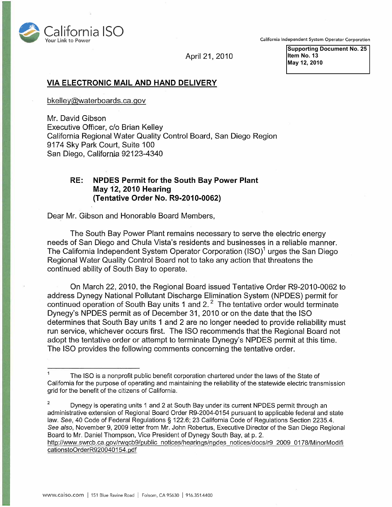

California Independent System Operator Corporation

April 21, 2010

**Supporting Document No. 25 Item No. 13 May 12, 2010** 

## **VIA ELECTRONIC MAIL AND HAND DELIVERY**

bkelley@waterboards.ca.gov

Mr. David Gibson Executive Officer, c/o Brian Kelley California Regional Water Quality Control Board, San Diego Region 9174 Sky Park Court, Suite 100 San Diego, California 92123-4340

## **RE: NPDES Permit for the South Bay Power Plant May 12, 2010 Hearing (Tentative Order No. R9-2010-0062)**

Dear Mr. Gibson and Honorable Board Members,

The South Bay Power Plant remains necessary to serve the electric energy needs of San Diego and Chula Vista's residents and businesses in a reliable manner. The California Independent System Operator Corporation (ISO)<sup>1</sup> urges the San Diego Regional Water Quality Control Board not to take any action that threatens the continued ability of South Bay to operate.

On March 22, 2010, the Regional Board issued Tentative Order R9-2010-0062 to address Dynegy National Pollutant Discharge Elimination System (NPDES) permit for continued operation of South Bay units 1 and 2. $^2$  The tentative order would terminate Dynegy's NPDES permit as of December 31, 2010 or on the date that the ISO determines that South Bay units 1 and 2 are no longer needed to provide reliability must run service, whichever occurs first. The ISO recommends that the Regional Board not adopt the tentative order or attempt to terminate Dynegy's NPDES permit at this time. The ISO provides the following comments concerning the tentative order.

 $1$  The ISO is a nonprofit public benefit corporation chartered under the laws of the State of California for the purpose of operating and maintaining the reliability of the statewide electric transmission grid for the benefit of the citizens of California.

 $\overline{2}$ Dynegy is operating units 1 and 2 at South Bay under its current NPDES permit through an administrative extension of Regional Board Order R9-2004-0154 pursuant to applicable federal and state law. See, 40 Code of Federal Regulations § 122.6; 23 California Code of Regulations Section 2235.4. See also, November 9, 2009 letter from Mr. John Robertus, Executive Director of the San Diego Regional Board to Mr. Daniel Thompson, Vice President of Dynegy South Bay, at p. 2. http://www.swrcb.ca.gov/rwqcb9/public notices/hearings/npdes notices/docs/r9 2009 0178/MinorModifi cationstoOrderR920040154.pdf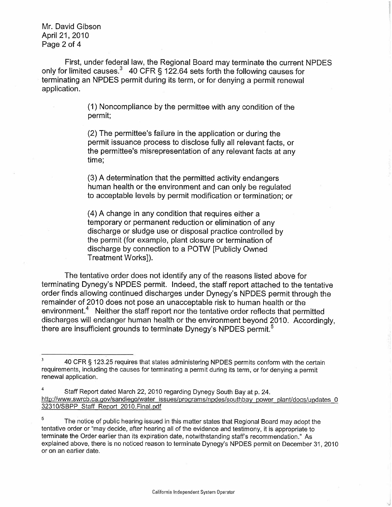Mr. David Gibson April 21, 2010 Page 2 of 4

First, under federal law, the Regional Board may terminate the current NPDES only for limited causes.<sup>3</sup> 40 CFR § 122.64 sets forth the following causes for terminating an NPDES permit during its term, or for denying a permit renewal application.

> (1) Noncompliance by the permittee with any condition of the permit;

> (2) The permittee's failure in the application or during the permit issuance process to disclose fully all relevant facts, or the permittee's misrepresentation of any relevant facts at any time;

(3) A determination that the permitted activity endangers human health or the environment and can only be regulated to acceptable levels by permit modification or termination; or

(4) A change in any condition that requires either a temporary or permanent reduction or elimination of any discharge or sludge use or disposal practice controlled by the permit (for example, plant closure or termination of discharge by connection to a POTW [Publicly Owned Treatment Works]).

The tentative order does not identify any of the reasons listed above for terminating Dynegy's NPDES permit. Indeed, the staff report attached to the tentative order finds allowing continued discharges under Dynegy's NPDES permit through the remainder of 2010 does not pose an unacceptable risk to human health or the environment.<sup>4</sup> Neither the staff report nor the tentative order reflects that permitted discharges will endanger human health or the environment beyond 2010. Accordingly, there are insufficient grounds to terminate Dynegy's NPDES permit.<sup>5</sup>

Staff Report dated March 22, 2010 regarding Dynegy South Bay at p. 24. http://www.swrcb.ca.gov/sandiego/waterissues/programs/npdes/southbay power plant/docs/updates 0 32310/SBPP Staff Report 2010. Final.pdf

 $\overline{\mathbf{3}}$ 40 CFR § 123.25 requires that states administering NPDES permits conform with the certain requirements, including the causes for terminating a permit during its term, or for denying a permit renewal application.

<sup>5</sup> The notice of public hearing issued in this matter states that Regional Board may adopt the tentative order or "may decide, after hearing all of the evidence and testimony, it is appropriate to terminate the Order earlier than its expiration date, notwithstanding staff's recommendation." As explained above, there is no noticed reason to terminate Dynegy's NPDES permit on December 31, 2010 or on an earlier date.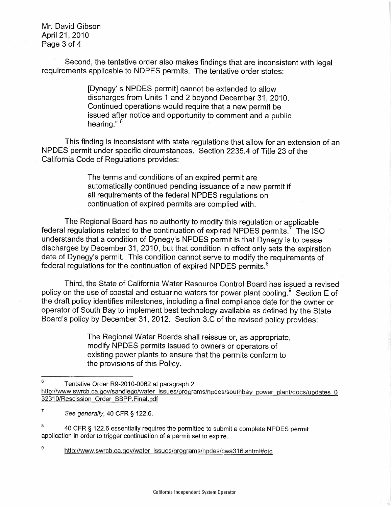Mr. David Gibson April 21, 2010 Page 3 of 4

Second, the tentative order also makes findings that are inconsistent with legal requirements applicable to NDPES permits. The tentative order states:

> [Dynegy' s NPDES permit] cannot be extended to allow discharges from Units 1 and 2 beyond December 31, 2010. Continued operations would require that a new permit be issued after notice and opportunity to comment and a public hearing."<sup>6</sup>

This finding is inconsistent with state regulations that allow for an extension of an NPDES permit under specific circumstances. Section 2235.4 of Title 23 of the California Code of Regulations provides:

> The terms and conditions of an expired permit are automatically continued pending issuance of a new permit if all requirements of the federal NPDES regulations on continuation of expired permits are complied with.

The Regional Board has no authority to modify this regulation or applicable federal regulations related to the continuation of expired NPDES permits.<sup>7</sup> The ISO understands that a condition of Dynegy's NPDES permit is that Dynegy is to cease discharges by December 31, 2010, but that condition in effect only sets the expiration date of Dynegy's permit. This condition cannot serve to modify the requirements of federal regulations for the continuation of expired NPDES permits.<sup>8</sup>

Third, the State of California Water Resource Control Board has issued a revised policy on the use of coastal and estuarine waters for power plant cooling. <sup>9</sup> Section E of the draft policy identifies milestones, including a final compliance date for the owner or operator of South Bay to implement best technology available as defined by the State Board's policy by December 31, 2012. Section 3.C of the revised policy provides:

> The Regional Water Boards shall reissue or, as appropriate, modify NPDES permits issued to owners or operators of existing power plants to ensure that the permits conform to the provisions of this Policy.

 $\boldsymbol{9}$ http://www.swrcb.ca.gov/water issues/programs/npdes/cwa316.shtml#otc

 $6$  Tentative Order R9-2010-0062 at paragraph 2. http://www.swrcb.ca.gov/sandiego/water\_issues/programs/npdes/southbay\_power\_plant/docs/updates\_0 3231 0/Rescission Order SBPP. Final.pdf

 $\boldsymbol{7}$ See generally, 40 CFR § 122.6.

<sup>&</sup>lt;sup>8</sup> 40 CFR § 122.6 essentially requires the permittee to submit a complete NPDES permit application in order to trigger continuation of a permit set to expire.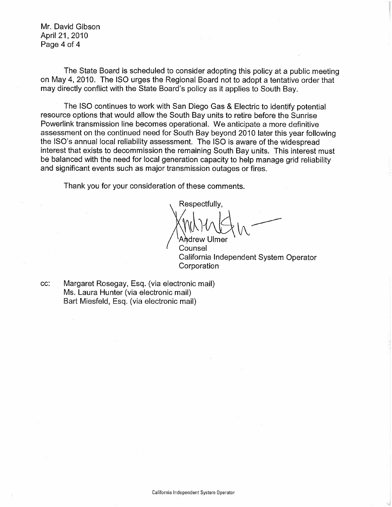Mr. David Gibson April 21, 2010 Page 4 of 4

The State Board is scheduled to consider adopting this policy at a public meeting on May 4, 2010. The ISO urges the Regional Board not to adopt a tentative order that may directly conflict with the State Board's policy as it applies to South Bay.

The ISO continues to work with San Diego Gas & Electric to identify potential resource options that would allow the South Bay units to retire before the Sunrise Powerlink transmission line becomes operational. We anticipate a more definitive assessment on the continued need for South Bay beyond 2010 later this year following the ISO's annual local reliability assessment. The ISO is aware of the widespread interest that exists to decommission the remaining South Bay units. This interest must be balanced with the need for local generation capacity to help manage grid reliability and significant events such as major transmission outages or fires.

Thank you for your consideration of these comments.

Respectfully, / Arcdrew Ulmer **- -t~,A ~%** 

Counsel California Independent System Operator **Corporation** 

cc: Margaret Rosegay, Esq. (via electronic mail) Ms. Laura Hunter (via electronic mail) Bart Miesfeld, Esq. (via electronic mail)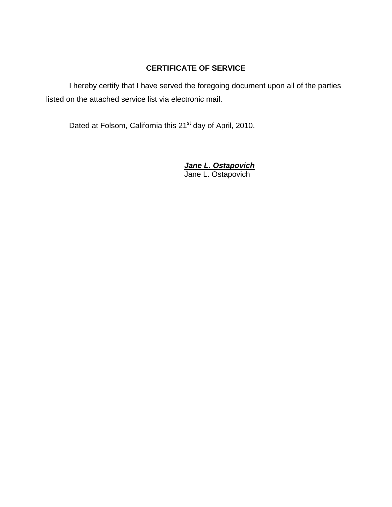# **CERTIFICATE OF SERVICE**

I hereby certify that I have served the foregoing document upon all of the parties listed on the attached service list via electronic mail.

Dated at Folsom, California this 21<sup>st</sup> day of April, 2010.

 *Jane L. Ostapovich* Jane L. Ostapovich